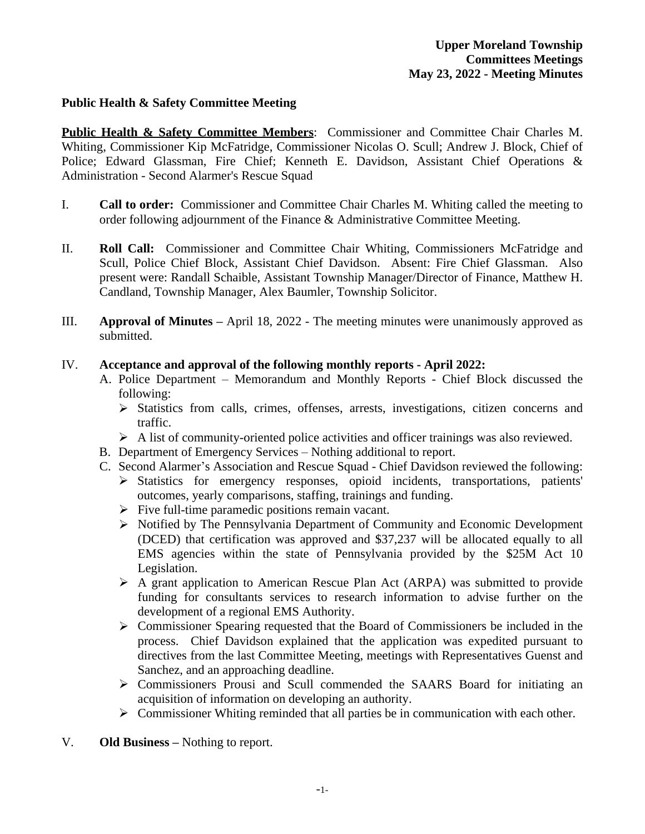#### **Public Health & Safety Committee Meeting**

**Public Health & Safety Committee Members**: Commissioner and Committee Chair Charles M. Whiting, Commissioner Kip McFatridge, Commissioner Nicolas O. Scull; Andrew J. Block, Chief of Police; Edward Glassman, Fire Chief; Kenneth E. Davidson, Assistant Chief Operations & Administration - Second Alarmer's Rescue Squad

- I. **Call to order:** Commissioner and Committee Chair Charles M. Whiting called the meeting to order following adjournment of the Finance & Administrative Committee Meeting.
- II. **Roll Call:** Commissioner and Committee Chair Whiting, Commissioners McFatridge and Scull, Police Chief Block, Assistant Chief Davidson. Absent: Fire Chief Glassman. Also present were: Randall Schaible, Assistant Township Manager/Director of Finance, Matthew H. Candland, Township Manager, Alex Baumler, Township Solicitor.
- III. **Approval of Minutes –** April 18, 2022 The meeting minutes were unanimously approved as submitted.

#### IV. **Acceptance and approval of the following monthly reports - April 2022:**

- A. Police Department Memorandum and Monthly Reports Chief Block discussed the following:
	- $\triangleright$  Statistics from calls, crimes, offenses, arrests, investigations, citizen concerns and traffic.
	- $\triangleright$  A list of community-oriented police activities and officer trainings was also reviewed.
- B. Department of Emergency Services Nothing additional to report.
- C. Second Alarmer's Association and Rescue Squad Chief Davidson reviewed the following:
	- Statistics for emergency responses, opioid incidents, transportations, patients' outcomes, yearly comparisons, staffing, trainings and funding.
	- $\triangleright$  Five full-time paramedic positions remain vacant.
	- Notified by The Pennsylvania Department of Community and Economic Development (DCED) that certification was approved and \$37,237 will be allocated equally to all EMS agencies within the state of Pennsylvania provided by the \$25M Act 10 Legislation.
	- $\triangleright$  A grant application to American Rescue Plan Act (ARPA) was submitted to provide funding for consultants services to research information to advise further on the development of a regional EMS Authority.
	- Commissioner Spearing requested that the Board of Commissioners be included in the process. Chief Davidson explained that the application was expedited pursuant to directives from the last Committee Meeting, meetings with Representatives Guenst and Sanchez, and an approaching deadline.
	- Commissioners Prousi and Scull commended the SAARS Board for initiating an acquisition of information on developing an authority.
	- Commissioner Whiting reminded that all parties be in communication with each other.
- V. **Old Business –** Nothing to report.